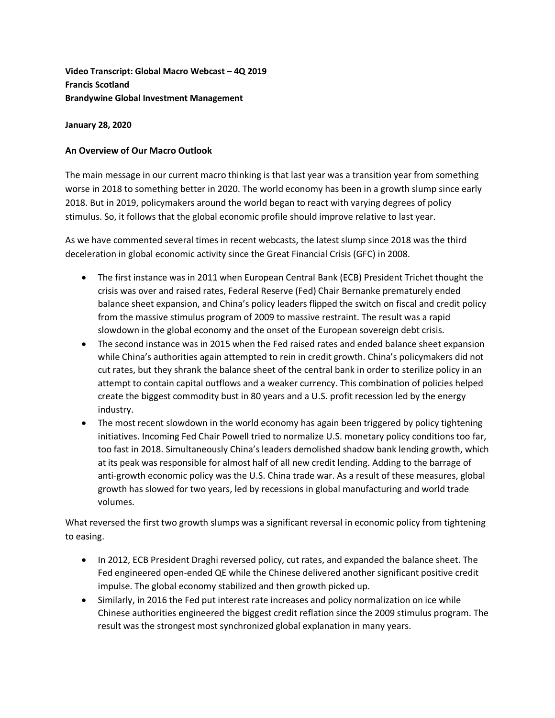**Video Transcript: Global Macro Webcast – 4Q 2019 Francis Scotland Brandywine Global Investment Management**

# **January 28, 2020**

# **An Overview of Our Macro Outlook**

The main message in our current macro thinking is that last year was a transition year from something worse in 2018 to something better in 2020. The world economy has been in a growth slump since early 2018. But in 2019, policymakers around the world began to react with varying degrees of policy stimulus. So, it follows that the global economic profile should improve relative to last year.

As we have commented several times in recent webcasts, the latest slump since 2018 was the third deceleration in global economic activity since the Great Financial Crisis (GFC) in 2008.

- The first instance was in 2011 when European Central Bank (ECB) President Trichet thought the crisis was over and raised rates, Federal Reserve (Fed) Chair Bernanke prematurely ended balance sheet expansion, and China's policy leaders flipped the switch on fiscal and credit policy from the massive stimulus program of 2009 to massive restraint. The result was a rapid slowdown in the global economy and the onset of the European sovereign debt crisis.
- The second instance was in 2015 when the Fed raised rates and ended balance sheet expansion while China's authorities again attempted to rein in credit growth. China's policymakers did not cut rates, but they shrank the balance sheet of the central bank in order to sterilize policy in an attempt to contain capital outflows and a weaker currency. This combination of policies helped create the biggest commodity bust in 80 years and a U.S. profit recession led by the energy industry.
- The most recent slowdown in the world economy has again been triggered by policy tightening initiatives. Incoming Fed Chair Powell tried to normalize U.S. monetary policy conditions too far, too fast in 2018. Simultaneously China's leaders demolished shadow bank lending growth, which at its peak was responsible for almost half of all new credit lending. Adding to the barrage of anti-growth economic policy was the U.S. China trade war. As a result of these measures, global growth has slowed for two years, led by recessions in global manufacturing and world trade volumes.

What reversed the first two growth slumps was a significant reversal in economic policy from tightening to easing.

- In 2012, ECB President Draghi reversed policy, cut rates, and expanded the balance sheet. The Fed engineered open-ended QE while the Chinese delivered another significant positive credit impulse. The global economy stabilized and then growth picked up.
- Similarly, in 2016 the Fed put interest rate increases and policy normalization on ice while Chinese authorities engineered the biggest credit reflation since the 2009 stimulus program. The result was the strongest most synchronized global explanation in many years.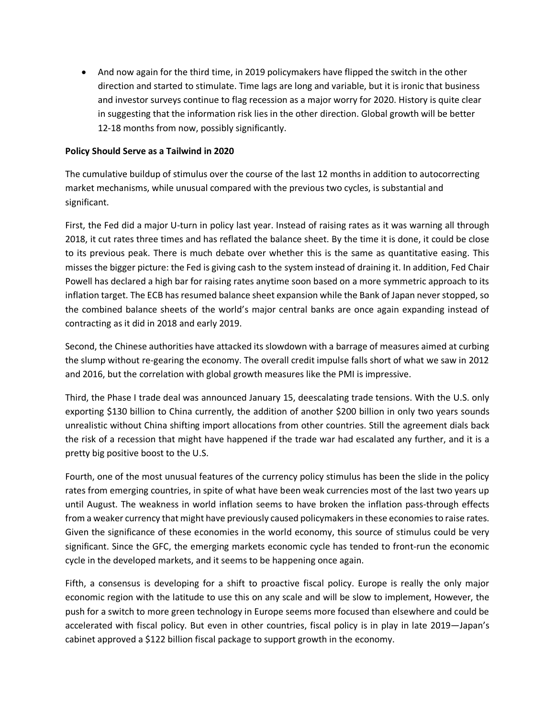• And now again for the third time, in 2019 policymakers have flipped the switch in the other direction and started to stimulate. Time lags are long and variable, but it is ironic that business and investor surveys continue to flag recession as a major worry for 2020. History is quite clear in suggesting that the information risk lies in the other direction. Global growth will be better 12-18 months from now, possibly significantly.

## **Policy Should Serve as a Tailwind in 2020**

The cumulative buildup of stimulus over the course of the last 12 months in addition to autocorrecting market mechanisms, while unusual compared with the previous two cycles, is substantial and significant.

First, the Fed did a major U-turn in policy last year. Instead of raising rates as it was warning all through 2018, it cut rates three times and has reflated the balance sheet. By the time it is done, it could be close to its previous peak. There is much debate over whether this is the same as quantitative easing. This misses the bigger picture: the Fed is giving cash to the system instead of draining it. In addition, Fed Chair Powell has declared a high bar for raising rates anytime soon based on a more symmetric approach to its inflation target. The ECB has resumed balance sheet expansion while the Bank of Japan never stopped, so the combined balance sheets of the world's major central banks are once again expanding instead of contracting as it did in 2018 and early 2019.

Second, the Chinese authorities have attacked its slowdown with a barrage of measures aimed at curbing the slump without re-gearing the economy. The overall credit impulse falls short of what we saw in 2012 and 2016, but the correlation with global growth measures like the PMI is impressive.

Third, the Phase I trade deal was announced January 15, deescalating trade tensions. With the U.S. only exporting \$130 billion to China currently, the addition of another \$200 billion in only two years sounds unrealistic without China shifting import allocations from other countries. Still the agreement dials back the risk of a recession that might have happened if the trade war had escalated any further, and it is a pretty big positive boost to the U.S.

Fourth, one of the most unusual features of the currency policy stimulus has been the slide in the policy rates from emerging countries, in spite of what have been weak currencies most of the last two years up until August. The weakness in world inflation seems to have broken the inflation pass-through effects from a weaker currency that might have previously caused policymakers in these economies to raise rates. Given the significance of these economies in the world economy, this source of stimulus could be very significant. Since the GFC, the emerging markets economic cycle has tended to front-run the economic cycle in the developed markets, and it seems to be happening once again.

Fifth, a consensus is developing for a shift to proactive fiscal policy. Europe is really the only major economic region with the latitude to use this on any scale and will be slow to implement, However, the push for a switch to more green technology in Europe seems more focused than elsewhere and could be accelerated with fiscal policy. But even in other countries, fiscal policy is in play in late 2019—Japan's cabinet approved a \$122 billion fiscal package to support growth in the economy.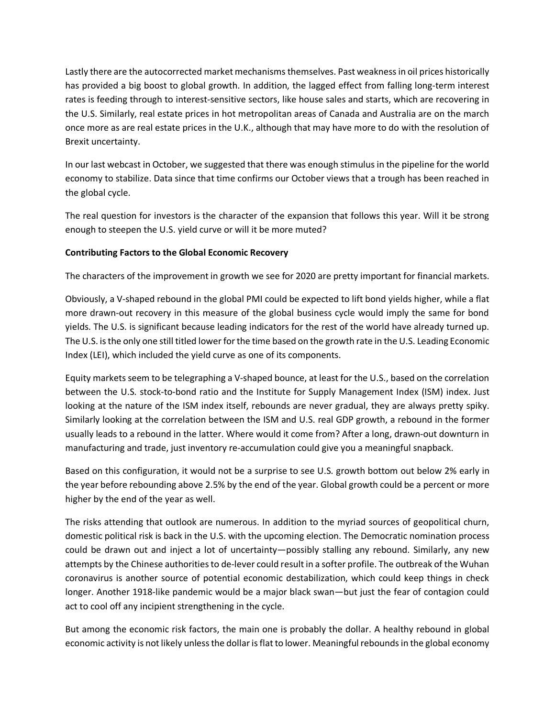Lastly there are the autocorrected market mechanisms themselves. Past weakness in oil prices historically has provided a big boost to global growth. In addition, the lagged effect from falling long-term interest rates is feeding through to interest-sensitive sectors, like house sales and starts, which are recovering in the U.S. Similarly, real estate prices in hot metropolitan areas of Canada and Australia are on the march once more as are real estate prices in the U.K., although that may have more to do with the resolution of Brexit uncertainty.

In our last webcast in October, we suggested that there was enough stimulus in the pipeline for the world economy to stabilize. Data since that time confirms our October views that a trough has been reached in the global cycle.

The real question for investors is the character of the expansion that follows this year. Will it be strong enough to steepen the U.S. yield curve or will it be more muted?

# **Contributing Factors to the Global Economic Recovery**

The characters of the improvement in growth we see for 2020 are pretty important for financial markets.

Obviously, a V-shaped rebound in the global PMI could be expected to lift bond yields higher, while a flat more drawn-out recovery in this measure of the global business cycle would imply the same for bond yields. The U.S. is significant because leading indicators for the rest of the world have already turned up. The U.S. is the only one still titled lower for the time based on the growth rate in the U.S. Leading Economic Index (LEI), which included the yield curve as one of its components.

Equity markets seem to be telegraphing a V-shaped bounce, at least for the U.S., based on the correlation between the U.S. stock-to-bond ratio and the Institute for Supply Management Index (ISM) index. Just looking at the nature of the ISM index itself, rebounds are never gradual, they are always pretty spiky. Similarly looking at the correlation between the ISM and U.S. real GDP growth, a rebound in the former usually leads to a rebound in the latter. Where would it come from? After a long, drawn-out downturn in manufacturing and trade, just inventory re-accumulation could give you a meaningful snapback.

Based on this configuration, it would not be a surprise to see U.S. growth bottom out below 2% early in the year before rebounding above 2.5% by the end of the year. Global growth could be a percent or more higher by the end of the year as well.

The risks attending that outlook are numerous. In addition to the myriad sources of geopolitical churn, domestic political risk is back in the U.S. with the upcoming election. The Democratic nomination process could be drawn out and inject a lot of uncertainty—possibly stalling any rebound. Similarly, any new attempts by the Chinese authorities to de-lever could result in a softer profile. The outbreak of the Wuhan coronavirus is another source of potential economic destabilization, which could keep things in check longer. Another 1918-like pandemic would be a major black swan—but just the fear of contagion could act to cool off any incipient strengthening in the cycle.

But among the economic risk factors, the main one is probably the dollar. A healthy rebound in global economic activity is not likely unless the dollar is flat to lower. Meaningful rebounds in the global economy